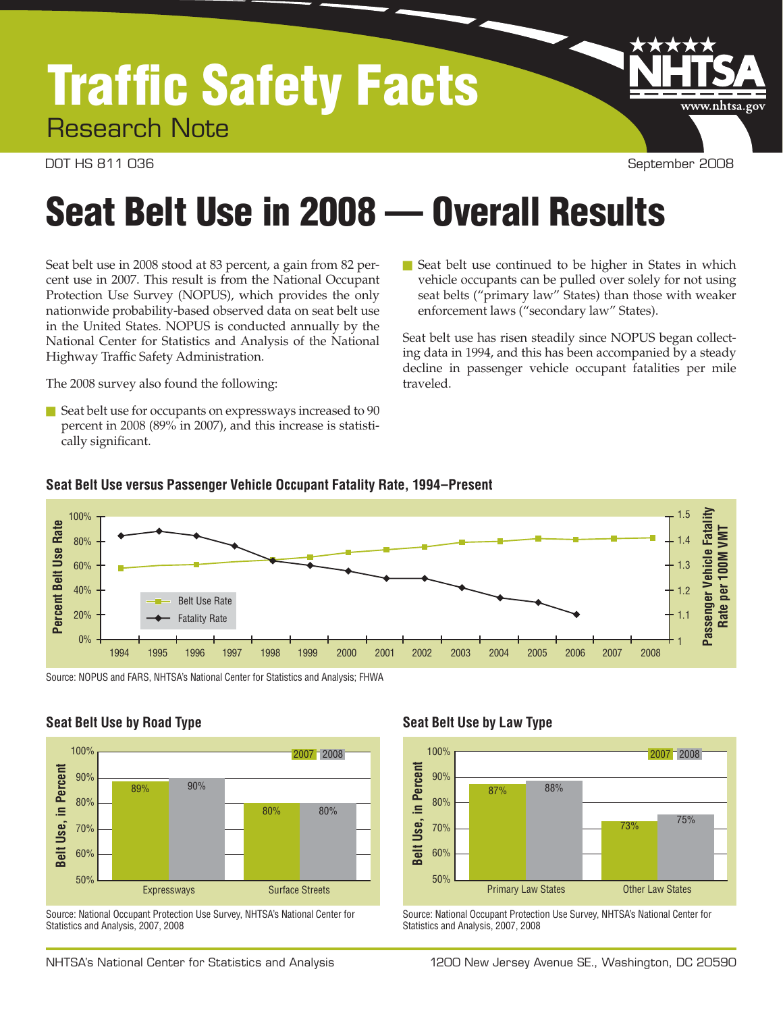# Traffic Safety Facts

Research Note

DOT HS 811 036 September 2008

www.nhtsa.gov

# Seat Belt Use in 2008 — Overall Results

Seat belt use in 2008 stood at 83 percent, a gain from 82 percent use in 2007. This result is from the National Occupant Protection Use Survey (NOPUS), which provides the only nationwide probability-based observed data on seat belt use in the United States. NOPUS is conducted annually by the National Center for Statistics and Analysis of the National Highway Traffic Safety Administration.

The 2008 survey also found the following:

- Seat belt use for occupants on expressways increased to 90 percent in 2008 (89% in 2007), and this increase is statistically significant.
- Seat belt use continued to be higher in States in which vehicle occupants can be pulled over solely for not using seat belts ("primary law" States) than those with weaker enforcement laws ("secondary law" States).

Seat belt use has risen steadily since NOPUS began collecting data in 1994, and this has been accompanied by a steady decline in passenger vehicle occupant fatalities per mile traveled.



#### **Seat Belt Use versus Passenger Vehicle Occupant Fatality Rate, 1994–Present**

Source: NOPUS and FARS, NHTSA's National Center for Statistics and Analysis; FHWA

#### **Seat Belt Use by Road Type**



Source: National Occupant Protection Use Survey, NHTSA's National Center for Statistics and Analysis, 2007, 2008

#### **Seat Belt Use by Law Type**



Source: National Occupant Protection Use Survey, NHTSA's National Center for Statistics and Analysis, 2007, 2008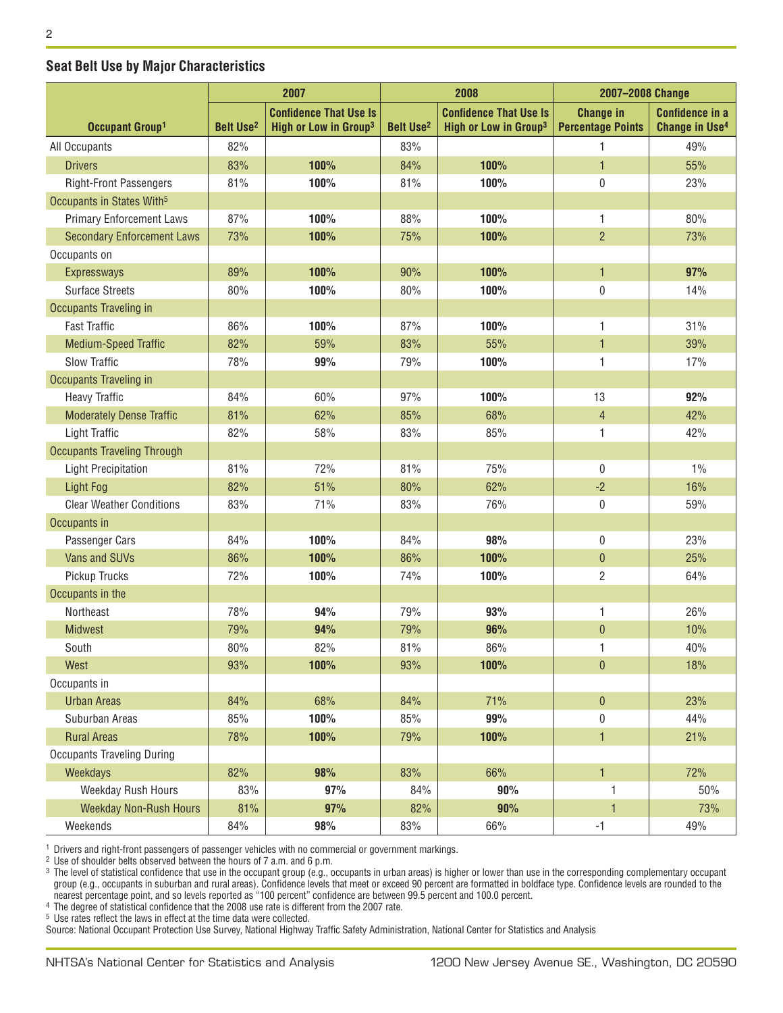#### **Seat Belt Use by Major Characteristics**

|                                       |                             | 2007<br>2008                      |                             |                                   | 2007-2008 Change         |                                  |
|---------------------------------------|-----------------------------|-----------------------------------|-----------------------------|-----------------------------------|--------------------------|----------------------------------|
|                                       |                             | <b>Confidence That Use Is</b>     |                             | <b>Confidence That Use Is</b>     | <b>Change in</b>         | <b>Confidence in a</b>           |
| Occupant Group <sup>1</sup>           | <b>Belt Use<sup>2</sup></b> | High or Low in Group <sup>3</sup> | <b>Belt Use<sup>2</sup></b> | High or Low in Group <sup>3</sup> | <b>Percentage Points</b> | <b>Change in Use<sup>4</sup></b> |
| All Occupants                         | 82%                         |                                   | 83%                         |                                   | 1                        | 49%                              |
| <b>Drivers</b>                        | 83%                         | 100%                              | 84%                         | 100%                              | 1                        | 55%                              |
| <b>Right-Front Passengers</b>         | 81%                         | 100%                              | 81%                         | 100%                              | $\mathbf 0$              | 23%                              |
| Occupants in States With <sup>5</sup> |                             |                                   |                             |                                   |                          |                                  |
| <b>Primary Enforcement Laws</b>       | 87%                         | 100%                              | 88%                         | 100%                              | 1                        | 80%                              |
| <b>Secondary Enforcement Laws</b>     | 73%                         | 100%                              | 75%                         | 100%                              | $\overline{2}$           | 73%                              |
| Occupants on                          |                             |                                   |                             |                                   |                          |                                  |
| <b>Expressways</b>                    | 89%                         | 100%                              | 90%                         | 100%                              | 1                        | 97%                              |
| <b>Surface Streets</b>                | 80%                         | 100%                              | 80%                         | 100%                              | $\boldsymbol{0}$         | 14%                              |
| Occupants Traveling in                |                             |                                   |                             |                                   |                          |                                  |
| <b>Fast Traffic</b>                   | 86%                         | 100%                              | 87%                         | 100%                              | 1                        | 31%                              |
| <b>Medium-Speed Traffic</b>           | 82%                         | 59%                               | 83%                         | 55%                               | 1                        | 39%                              |
| <b>Slow Traffic</b>                   | 78%                         | 99%                               | 79%                         | 100%                              | 1                        | 17%                              |
| <b>Occupants Traveling in</b>         |                             |                                   |                             |                                   |                          |                                  |
| <b>Heavy Traffic</b>                  | 84%                         | 60%                               | 97%                         | 100%                              | 13                       | 92%                              |
| <b>Moderately Dense Traffic</b>       | 81%                         | 62%                               | 85%                         | 68%                               | $\overline{4}$           | 42%                              |
| <b>Light Traffic</b>                  | 82%                         | 58%                               | 83%                         | 85%                               | 1                        | 42%                              |
| <b>Occupants Traveling Through</b>    |                             |                                   |                             |                                   |                          |                                  |
| <b>Light Precipitation</b>            | 81%                         | 72%                               | 81%                         | 75%                               | $\mathbf{0}$             | 1%                               |
| Light Fog                             | 82%                         | 51%                               | 80%                         | 62%                               | $-2$                     | 16%                              |
| <b>Clear Weather Conditions</b>       | 83%                         | 71%                               | 83%                         | 76%                               | $\boldsymbol{0}$         | 59%                              |
| Occupants in                          |                             |                                   |                             |                                   |                          |                                  |
| Passenger Cars                        | 84%                         | 100%                              | 84%                         | 98%                               | 0                        | 23%                              |
| <b>Vans and SUVs</b>                  | 86%                         | 100%                              | 86%                         | 100%                              | $\pmb{0}$                | 25%                              |
| <b>Pickup Trucks</b>                  | 72%                         | 100%                              | 74%                         | 100%                              | $\overline{2}$           | 64%                              |
| Occupants in the                      |                             |                                   |                             |                                   |                          |                                  |
| Northeast                             | 78%                         | 94%                               | 79%                         | 93%                               | 1                        | 26%                              |
| <b>Midwest</b>                        | 79%                         | 94%                               | 79%                         | 96%                               | $\pmb{0}$                | 10%                              |
| South                                 | 80%                         | 82%                               | 81%                         | 86%                               | 1                        | 40%                              |
| West                                  | 93%                         | 100%                              | 93%                         | 100%                              | $\pmb{0}$                | 18%                              |
| Occupants in                          |                             |                                   |                             |                                   |                          |                                  |
| <b>Urban Areas</b>                    | 84%                         | 68%                               | 84%                         | 71%                               | $\mathbf{0}$             | 23%                              |
| Suburban Areas                        | 85%                         | 100%                              | 85%                         | 99%                               | $\pmb{0}$                | 44%                              |
| <b>Rural Areas</b>                    | 78%                         | 100%                              | 79%                         | 100%                              | $\mathbf{1}$             | 21%                              |
| <b>Occupants Traveling During</b>     |                             |                                   |                             |                                   |                          |                                  |
| Weekdays                              | 82%                         | 98%                               | 83%                         | 66%                               | 1                        | 72%                              |
| Weekday Rush Hours                    | 83%                         | 97%                               | 84%                         | 90%                               | 1                        | 50%                              |
| <b>Weekday Non-Rush Hours</b>         | 81%                         | 97%                               | 82%                         | 90%                               | 1                        | 73%                              |
| Weekends                              | 84%                         | 98%                               | 83%                         | 66%                               | $-1$                     | 49%                              |

<sup>1</sup> Drivers and right-front passengers of passenger vehicles with no commercial or government markings.

<sup>2</sup> Use of shoulder belts observed between the hours of 7 a.m. and 6 p.m.

<sup>3</sup> The level of statistical confidence that use in the occupant group (e.g., occupants in urban areas) is higher or lower than use in the corresponding complementary occupant group (e.g., occupants in suburban and rural areas). Confidence levels that meet or exceed 90 percent are formatted in boldface type. Confidence levels are rounded to the nearest percentage point, and so levels reported as "100 percent" confidence are between 99.5 percent and 100.0 percent.

<sup>4</sup> The degree of statistical confidence that the 2008 use rate is different from the 2007 rate.

<sup>5</sup> Use rates reflect the laws in effect at the time data were collected.

Source: National Occupant Protection Use Survey, National Highway Traffic Safety Administration, National Center for Statistics and Analysis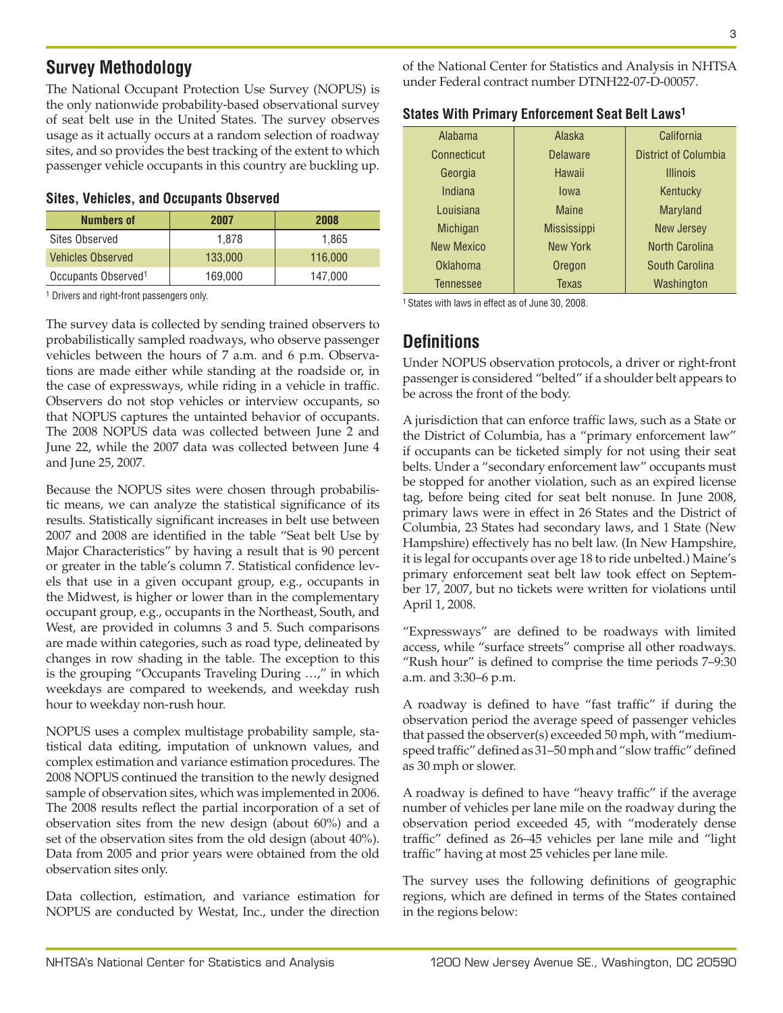## **Survey Methodology**

The National Occupant Protection Use Survey (NOPUS) is the only nationwide probability-based observational survey of seat belt use in the United States. The survey observes usage as it actually occurs at a random selection of roadway sites, and so provides the best tracking of the extent to which passenger vehicle occupants in this country are buckling up.

#### **Sites, Vehicles, and Occupants Observed**

| <b>Numbers of</b>               | 2007    | 2008    |
|---------------------------------|---------|---------|
| Sites Observed                  | 1,878   | 1.865   |
| <b>Vehicles Observed</b>        | 133,000 | 116,000 |
| Occupants Observed <sup>1</sup> | 169,000 | 147.000 |

<sup>1</sup> Drivers and right-front passengers only.

The survey data is collected by sending trained observers to probabilistically sampled roadways, who observe passenger vehicles between the hours of 7 a.m. and 6 p.m. Observations are made either while standing at the roadside or, in the case of expressways, while riding in a vehicle in traffic. Observers do not stop vehicles or interview occupants, so that NOPUS captures the untainted behavior of occupants. The 2008 NOPUS data was collected between June 2 and June 22, while the 2007 data was collected between June 4 and June 25, 2007.

Because the NOPUS sites were chosen through probabilistic means, we can analyze the statistical significance of its results. Statistically significant increases in belt use between 2007 and 2008 are identified in the table "Seat belt Use by Major Characteristics" by having a result that is 90 percent or greater in the table's column 7. Statistical confidence levels that use in a given occupant group, e.g., occupants in the Midwest, is higher or lower than in the complementary occupant group, e.g., occupants in the Northeast, South, and West, are provided in columns 3 and 5. Such comparisons are made within categories, such as road type, delineated by changes in row shading in the table. The exception to this is the grouping "Occupants Traveling During …," in which weekdays are compared to weekends, and weekday rush hour to weekday non-rush hour.

NOPUS uses a complex multistage probability sample, statistical data editing, imputation of unknown values, and complex estimation and variance estimation procedures. The 2008 NOPUS continued the transition to the newly designed sample of observation sites, which was implemented in 2006. The 2008 results reflect the partial incorporation of a set of observation sites from the new design (about 60%) and a set of the observation sites from the old design (about 40%). Data from 2005 and prior years were obtained from the old observation sites only.

Data collection, estimation, and variance estimation for NOPUS are conducted by Westat, Inc., under the direction of the National Center for Statistics and Analysis in NHTSA under Federal contract number DTNH22-07-D-00057.

| Alabama           | Alaska             | California            |  |
|-------------------|--------------------|-----------------------|--|
| Connecticut       | <b>Delaware</b>    | District of Columbia  |  |
| Georgia           | Hawaii             | <b>Illinois</b>       |  |
| Indiana           | Iowa               | Kentucky              |  |
| Louisiana         | <b>Maine</b>       | Maryland              |  |
| <b>Michigan</b>   | <b>Mississippi</b> | <b>New Jersey</b>     |  |
| <b>New Mexico</b> | <b>New York</b>    | <b>North Carolina</b> |  |
| Oklahoma          | Oregon             | South Carolina        |  |
| <b>Tennessee</b>  | <b>Texas</b>       | Washington            |  |

1 States with laws in effect as of June 30, 2008.

### **Definitions**

Under NOPUS observation protocols, a driver or right-front passenger is considered "belted" if a shoulder belt appears to be across the front of the body.

A jurisdiction that can enforce traffic laws, such as a State or the District of Columbia, has a "primary enforcement law" if occupants can be ticketed simply for not using their seat belts. Under a "secondary enforcement law" occupants must be stopped for another violation, such as an expired license tag, before being cited for seat belt nonuse. In June 2008, primary laws were in effect in 26 States and the District of Columbia, 23 States had secondary laws, and 1 State (New Hampshire) effectively has no belt law. (In New Hampshire, it is legal for occupants over age 18 to ride unbelted.) Maine's primary enforcement seat belt law took effect on September 17, 2007, but no tickets were written for violations until April 1, 2008.

"Expressways" are defined to be roadways with limited access, while "surface streets" comprise all other roadways. "Rush hour" is defined to comprise the time periods 7–9:30 a.m. and 3:30–6 p.m.

A roadway is defined to have "fast traffic" if during the observation period the average speed of passenger vehicles that passed the observer(s) exceeded 50 mph, with "mediumspeed traffic" defined as 31–50 mph and "slow traffic" defined as 30 mph or slower.

A roadway is defined to have "heavy traffic" if the average number of vehicles per lane mile on the roadway during the observation period exceeded 45, with "moderately dense traffic" defined as 26–45 vehicles per lane mile and "light traffic" having at most 25 vehicles per lane mile.

The survey uses the following definitions of geographic regions, which are defined in terms of the States contained in the regions below: